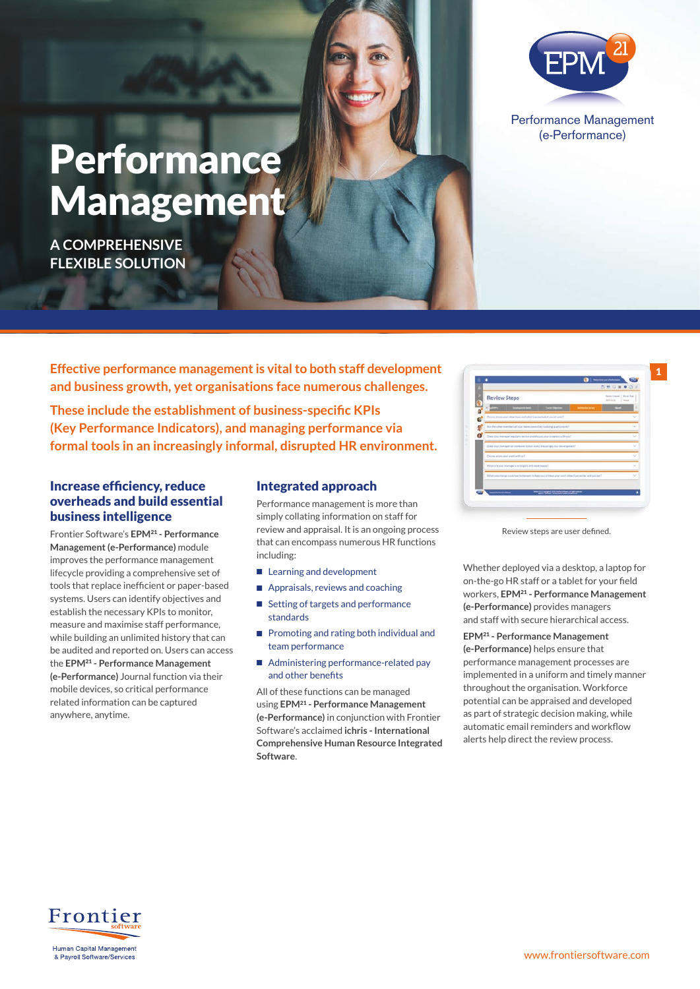# Performance Management (e-Performance)

## Performance Management

**A COMPREHENSIVE FLEXIBLE SOLUTION**

**Effective performance management is vital to both staff development and business growth, yet organisations face numerous challenges.**

**These include the establishment of business-specific KPIs (Key Performance Indicators), and managing performance via formal tools in an increasingly informal, disrupted HR environment.**

#### Increase efficiency, reduce overheads and build essential business intelligence

Frontier Software's **EPM**21 **- Performance Management (e-Performance)** module improves the performance management lifecycle providing a comprehensive set of tools that replace inefficient or paper-based systems. Users can identify objectives and establish the necessary KPIs to monitor, measure and maximise staff performance, while building an unlimited history that can be audited and reported on. Users can access the **EPM**21 **- Performance Management (e-Performance)** Journal function via their mobile devices, so critical performance related information can be captured anywhere, anytime.

#### Integrated approach

Performance management is more than simply collating information on staff for review and appraisal. It is an ongoing process that can encompass numerous HR functions including:

- Learning and development
- Appraisals, reviews and coaching
- Setting of targets and performance standards
- Promoting and rating both individual and team performance
- Administering performance-related pay and other benefits

All of these functions can be managed using **EPM**21 **- Performance Management (e-Performance)** in conjunction with Frontier Software's acclaimed **ichris - International Comprehensive Human Resource Integrated Software**.

|                    |                                                                                                                                  | 580800                                                      |        |
|--------------------|----------------------------------------------------------------------------------------------------------------------------------|-------------------------------------------------------------|--------|
|                    | <b>Review Steps</b>                                                                                                              | Animalization 1 American<br><b>ALFALLA</b><br><b>Allege</b> |        |
| $\frac{1}{\alpha}$ | $\sim$ 1000 $\mu$<br><b>Committee</b><br>____<br><b>Sentrados Sales</b>                                                          |                                                             | ٠      |
|                    | De you know your attactives and what is expected of you at work?                                                                 |                                                             | w      |
|                    | Are the other members of your team committed to daing spellty mont?                                                              |                                                             | $\sim$ |
| ٥                  | Does your manager regularly review and should use and progress with you?                                                         |                                                             | $\sim$ |
|                    | Their your manager bir stampanic discut your Elizabet at the property seed.                                                      |                                                             | $\sim$ |
|                    | De viscarioni anno anno artificati                                                                                               |                                                             | v      |
|                    | What's ne was manuscular is strainable and weak research                                                                         |                                                             | $\sim$ |
|                    | What is no other period we had energy to determine the high state of the contract and the state of the state of the state of the |                                                             | $\sim$ |
|                    |                                                                                                                                  |                                                             |        |
|                    | a jahara 30 spis uwa                                                                                                             |                                                             |        |

1

Review steps are user defined.

Whether deployed via a desktop, a laptop for on-the-go HR staff or a tablet for your field workers, **EPM**21 **- Performance Management (e-Performance)** provides managers and staff with secure hierarchical access.

**EPM**21 **- Performance Management (e-Performance)** helps ensure that performance management processes are implemented in a uniform and timely manner throughout the organisation. Workforce potential can be appraised and developed as part of strategic decision making, while automatic email reminders and workflow alerts help direct the review process.

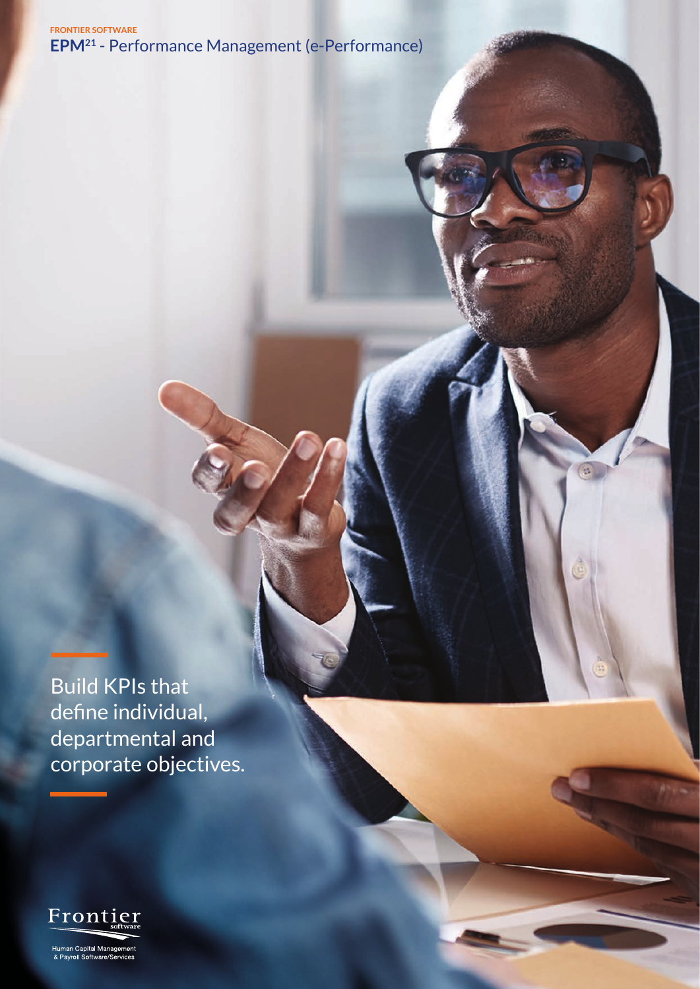**FRONTIER SOFTWARE EPM21** - Performance Management (e-Performance)

Build KPIs that define individual, departmental and corporate objectives.



Human Capital Managemer<br>& Payroll Software/Services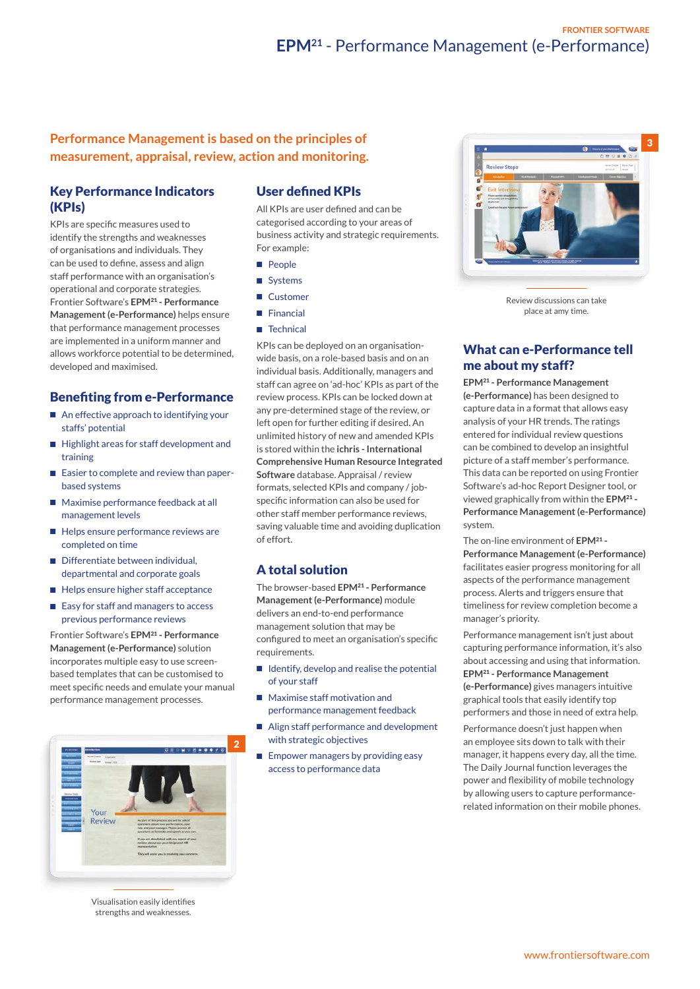#### **Performance Management is based on the principles of measurement, appraisal, review, action and monitoring.**

#### Key Performance Indicators (KPIs)

KPIs are specific measures used to identify the strengths and weaknesses of organisations and individuals. They can be used to define, assess and align staff performance with an organisation's operational and corporate strategies. Frontier Software's **EPM**21 **- Performance Management (e-Performance)** helps ensure that performance management processes are implemented in a uniform manner and allows workforce potential to be determined, developed and maximised.

#### Benefiting from e-Performance

- An effective approach to identifying your staffs' potential
- Highlight areas for staff development and training
- Easier to complete and review than paperbased systems
- Maximise performance feedback at all management levels
- Helps ensure performance reviews are completed on time
- Differentiate between individual. departmental and corporate goals
- Helps ensure higher staff acceptance
- Easy for staff and managers to access previous performance reviews

Frontier Software's **EPM**21 **- Performance Management (e-Performance)** solution incorporates multiple easy to use screenbased templates that can be customised to meet specific needs and emulate your manual performance management processes.



Visualisation easily identifies strengths and weaknesses.

#### User defined KPIs

All KPIs are user defined and can be categorised according to your areas of business activity and strategic requirements. For example:

- People
- Systems
- Customer
- Financial
- Technical

KPIs can be deployed on an organisationwide basis, on a role-based basis and on an individual basis. Additionally, managers and staff can agree on 'ad-hoc' KPIs as part of the review process. KPIs can be locked down at any pre-determined stage of the review, or left open for further editing if desired. An unlimited history of new and amended KPIs is stored within the **ichris - International Comprehensive Human Resource Integrated Software** database. Appraisal / review formats, selected KPIs and company / jobspecific information can also be used for other staff member performance reviews, saving valuable time and avoiding duplication of effort.

#### A total solution

The browser-based **EPM**21 **- Performance Management (e-Performance)** module delivers an end-to-end performance management solution that may be configured to meet an organisation's specific requirements.

- Identify, develop and realise the potential of your staff
- Maximise staff motivation and performance management feedback
- Align staff performance and development with strategic objectives
- Empower managers by providing easy access to performance data



Review discussions can take place at amy time.

#### What can e-Performance tell me about my staff?

**EPM**21 **- Performance Management (e-Performance)** has been designed to capture data in a format that allows easy analysis of your HR trends. The ratings entered for individual review questions can be combined to develop an insightful picture of a staff member's performance. This data can be reported on using Frontier Software's ad-hoc Report Designer tool, or viewed graphically from within the **EPM**21 **- Performance Management (e-Performance)** system.

The on-line environment of **EPM**21 **- Performance Management (e-Performance)** facilitates easier progress monitoring for all aspects of the performance management process. Alerts and triggers ensure that timeliness for review completion become a manager's priority.

Performance management isn't just about capturing performance information, it's also about accessing and using that information. **EPM**21 **- Performance Management (e-Performance)** gives managers intuitive graphical tools that easily identify top performers and those in need of extra help.

Performance doesn't just happen when an employee sits down to talk with their manager, it happens every day, all the time. The Daily Journal function leverages the power and flexibility of mobile technology by allowing users to capture performancerelated information on their mobile phones.